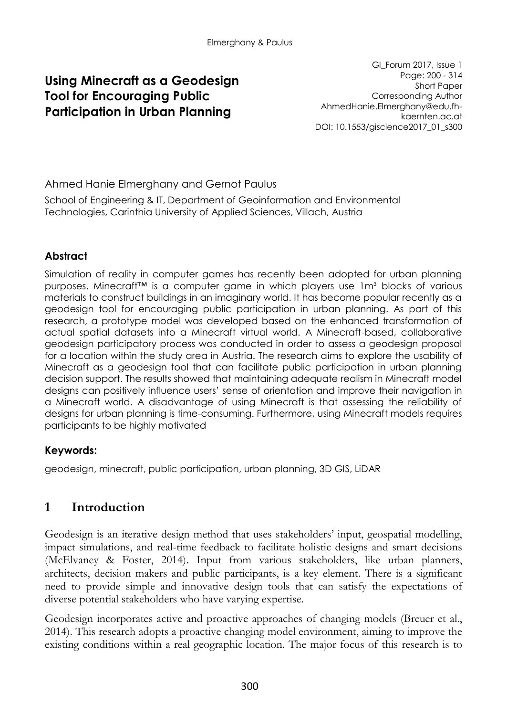## **Using Minecraft as a Geodesign Tool for Encouraging Public Participation in Urban Planning**

GI\_Forum 2017, Issue 1 Page: 200 - 314 Short Paper Corresponding Author AhmedHanie.Elmerghany@edu.fhkaernten.ac.at DOI: 10.1553/giscience2017\_01\_s300

Ahmed Hanie Elmerghany and Gernot Paulus

School of Engineering & IT, Department of Geoinformation and Environmental Technologies, Carinthia University of Applied Sciences, Villach, Austria

### **Abstract**

Simulation of reality in computer games has recently been adopted for urban planning purposes. Minecraft<sup>™</sup> is a computer game in which players use 1m<sup>a</sup> blocks of various materials to construct buildings in an imaginary world. It has become popular recently as a geodesign tool for encouraging public participation in urban planning. As part of this research, a prototype model was developed based on the enhanced transformation of actual spatial datasets into a Minecraft virtual world. A Minecraft-based, collaborative geodesign participatory process was conducted in order to assess a geodesign proposal for a location within the study area in Austria. The research aims to explore the usability of Minecraft as a geodesign tool that can facilitate public participation in urban planning decision support. The results showed that maintaining adequate realism in Minecraft model designs can positively influence users' sense of orientation and improve their navigation in a Minecraft world. A disadvantage of using Minecraft is that assessing the reliability of designs for urban planning is time-consuming. Furthermore, using Minecraft models requires participants to be highly motivated

### **Keywords:**

geodesign, minecraft, public participation, urban planning, 3D GIS, LiDAR

# **1 Introduction**

Geodesign is an iterative design method that uses stakeholders' input, geospatial modelling, impact simulations, and real-time feedback to facilitate holistic designs and smart decisions (McElvaney & Foster, 2014). Input from various stakeholders, like urban planners, architects, decision makers and public participants, is a key element. There is a significant need to provide simple and innovative design tools that can satisfy the expectations of diverse potential stakeholders who have varying expertise.

Geodesign incorporates active and proactive approaches of changing models (Breuer et al., 2014). This research adopts a proactive changing model environment, aiming to improve the existing conditions within a real geographic location. The major focus of this research is to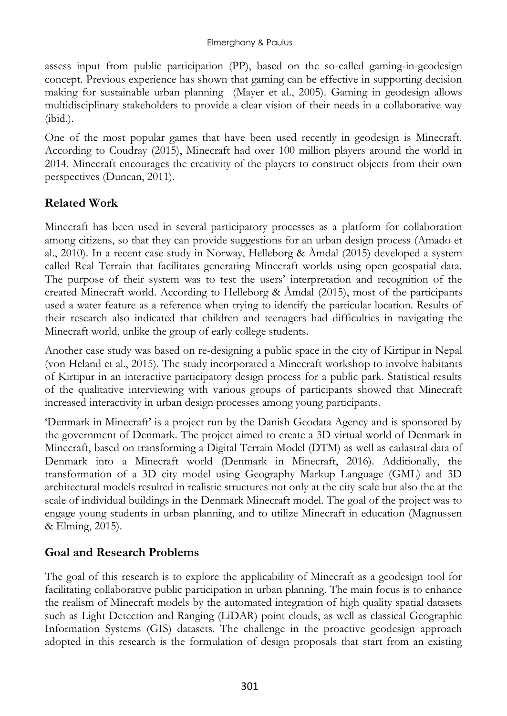assess input from public participation (PP), based on the so-called gaming-in-geodesign concept. Previous experience has shown that gaming can be effective in supporting decision making for sustainable urban planning (Mayer et al., 2005). Gaming in geodesign allows multidisciplinary stakeholders to provide a clear vision of their needs in a collaborative way (ibid.).

One of the most popular games that have been used recently in geodesign is Minecraft. According to Coudray (2015), Minecraft had over 100 million players around the world in 2014. Minecraft encourages the creativity of the players to construct objects from their own perspectives (Duncan, 2011).

### **Related Work**

Minecraft has been used in several participatory processes as a platform for collaboration among citizens, so that they can provide suggestions for an urban design process (Amado et al., 2010). In a recent case study in Norway, Helleborg  $\&$  Åmdal (2015) developed a system called Real Terrain that facilitates generating Minecraft worlds using open geospatial data. The purpose of their system was to test the users' interpretation and recognition of the created Minecraft world. According to Helleborg  $\&$  Åmdal (2015), most of the participants used a water feature as a reference when trying to identify the particular location. Results of their research also indicated that children and teenagers had difficulties in navigating the Minecraft world, unlike the group of early college students.

Another case study was based on re-designing a public space in the city of Kirtipur in Nepal (von Heland et al., 2015). The study incorporated a Minecraft workshop to involve habitants of Kirtipur in an interactive participatory design process for a public park. Statistical results of the qualitative interviewing with various groups of participants showed that Minecraft increased interactivity in urban design processes among young participants.

'Denmark in Minecraft' is a project run by the Danish Geodata Agency and is sponsored by the government of Denmark. The project aimed to create a 3D virtual world of Denmark in Minecraft, based on transforming a Digital Terrain Model (DTM) as well as cadastral data of Denmark into a Minecraft world (Denmark in Minecraft, 2016). Additionally, the transformation of a 3D city model using Geography Markup Language (GML) and 3D architectural models resulted in realistic structures not only at the city scale but also the at the scale of individual buildings in the Denmark Minecraft model. The goal of the project was to engage young students in urban planning, and to utilize Minecraft in education (Magnussen & Elming, 2015).

# **Goal and Research Problems**

The goal of this research is to explore the applicability of Minecraft as a geodesign tool for facilitating collaborative public participation in urban planning. The main focus is to enhance the realism of Minecraft models by the automated integration of high quality spatial datasets such as Light Detection and Ranging (LiDAR) point clouds, as well as classical Geographic Information Systems (GIS) datasets. The challenge in the proactive geodesign approach adopted in this research is the formulation of design proposals that start from an existing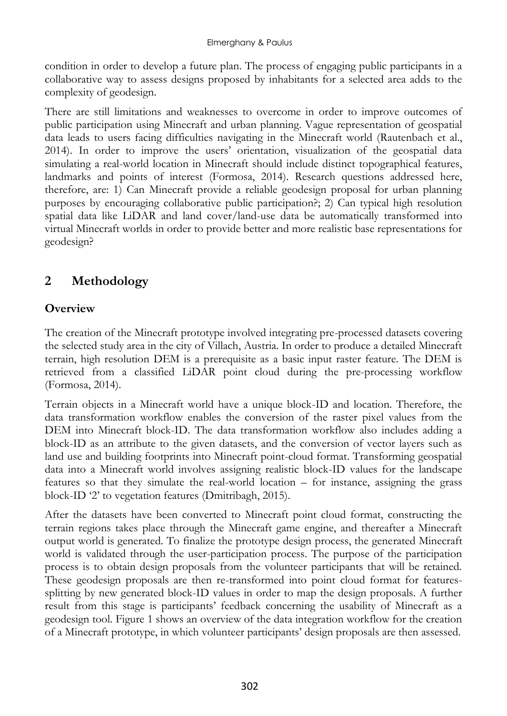condition in order to develop a future plan. The process of engaging public participants in a collaborative way to assess designs proposed by inhabitants for a selected area adds to the complexity of geodesign.

There are still limitations and weaknesses to overcome in order to improve outcomes of public participation using Minecraft and urban planning. Vague representation of geospatial data leads to users facing difficulties navigating in the Minecraft world (Rautenbach et al., 2014). In order to improve the users' orientation, visualization of the geospatial data simulating a real-world location in Minecraft should include distinct topographical features, landmarks and points of interest (Formosa, 2014). Research questions addressed here, therefore, are: 1) Can Minecraft provide a reliable geodesign proposal for urban planning purposes by encouraging collaborative public participation?; 2) Can typical high resolution spatial data like LiDAR and land cover/land-use data be automatically transformed into virtual Minecraft worlds in order to provide better and more realistic base representations for geodesign?

# **2 Methodology**

## **Overview**

The creation of the Minecraft prototype involved integrating pre-processed datasets covering the selected study area in the city of Villach, Austria. In order to produce a detailed Minecraft terrain, high resolution DEM is a prerequisite as a basic input raster feature. The DEM is retrieved from a classified LiDAR point cloud during the pre-processing workflow (Formosa, 2014).

Terrain objects in a Minecraft world have a unique block-ID and location. Therefore, the data transformation workflow enables the conversion of the raster pixel values from the DEM into Minecraft block-ID. The data transformation workflow also includes adding a block-ID as an attribute to the given datasets, and the conversion of vector layers such as land use and building footprints into Minecraft point-cloud format. Transforming geospatial data into a Minecraft world involves assigning realistic block-ID values for the landscape features so that they simulate the real-world location – for instance, assigning the grass block-ID '2' to vegetation features (Dmitribagh, 2015).

After the datasets have been converted to Minecraft point cloud format, constructing the terrain regions takes place through the Minecraft game engine, and thereafter a Minecraft output world is generated. To finalize the prototype design process, the generated Minecraft world is validated through the user-participation process. The purpose of the participation process is to obtain design proposals from the volunteer participants that will be retained. These geodesign proposals are then re-transformed into point cloud format for featuressplitting by new generated block-ID values in order to map the design proposals. A further result from this stage is participants' feedback concerning the usability of Minecraft as a geodesign tool. Figure 1 shows an overview of the data integration workflow for the creation of a Minecraft prototype, in which volunteer participants' design proposals are then assessed.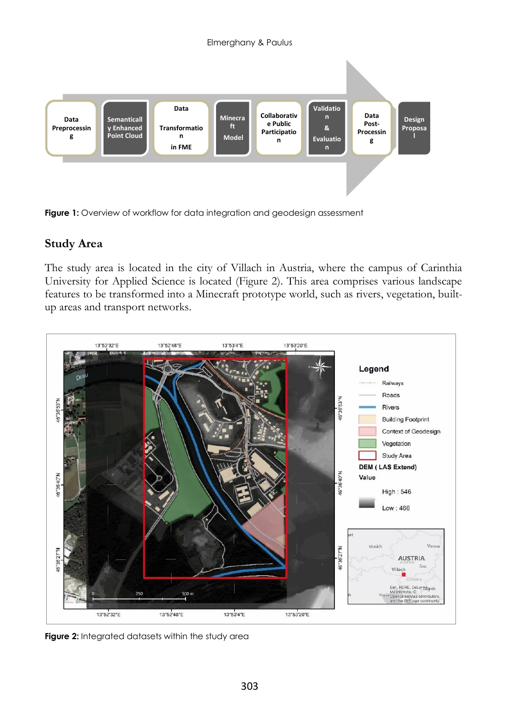

**Figure 1:** Overview of workflow for data integration and geodesign assessment

### **Study Area**

The study area is located in the city of Villach in Austria, where the campus of Carinthia University for Applied Science is located (Figure 2). This area comprises various landscape features to be transformed into a Minecraft prototype world, such as rivers, vegetation, builtup areas and transport networks.



**Figure 2:** Integrated datasets within the study area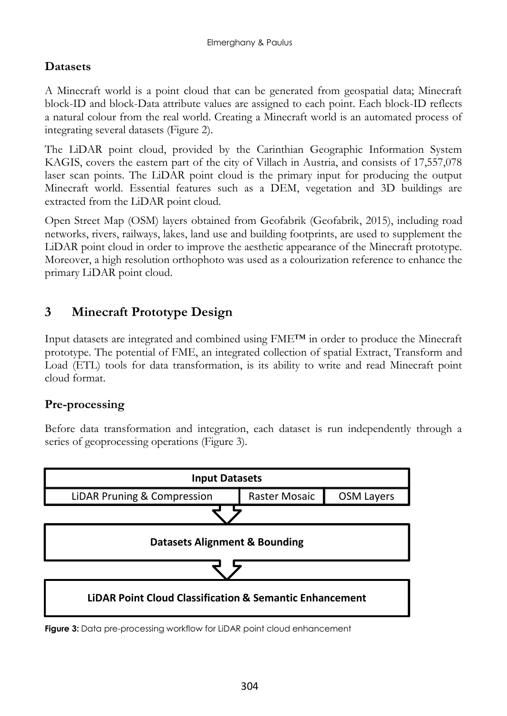## **Datasets**

A Minecraft world is a point cloud that can be generated from geospatial data; Minecraft block-ID and block-Data attribute values are assigned to each point. Each block-ID reflects a natural colour from the real world. Creating a Minecraft world is an automated process of integrating several datasets (Figure 2).

The LiDAR point cloud, provided by the Carinthian Geographic Information System KAGIS, covers the eastern part of the city of Villach in Austria, and consists of 17,557,078 laser scan points. The LiDAR point cloud is the primary input for producing the output Minecraft world. Essential features such as a DEM, vegetation and 3D buildings are extracted from the LiDAR point cloud.

Open Street Map (OSM) layers obtained from Geofabrik (Geofabrik, 2015), including road networks, rivers, railways, lakes, land use and building footprints, are used to supplement the LiDAR point cloud in order to improve the aesthetic appearance of the Minecraft prototype. Moreover, a high resolution orthophoto was used as a colourization reference to enhance the primary LiDAR point cloud.

# **3 Minecraft Prototype Design**

Input datasets are integrated and combined using FME™ in order to produce the Minecraft prototype. The potential of FME, an integrated collection of spatial Extract, Transform and Load (ETL) tools for data transformation, is its ability to write and read Minecraft point cloud format.

# **Pre-processing**

Before data transformation and integration, each dataset is run independently through a series of geoprocessing operations (Figure 3).



**Figure 3:** Data pre-processing workflow for LiDAR point cloud enhancement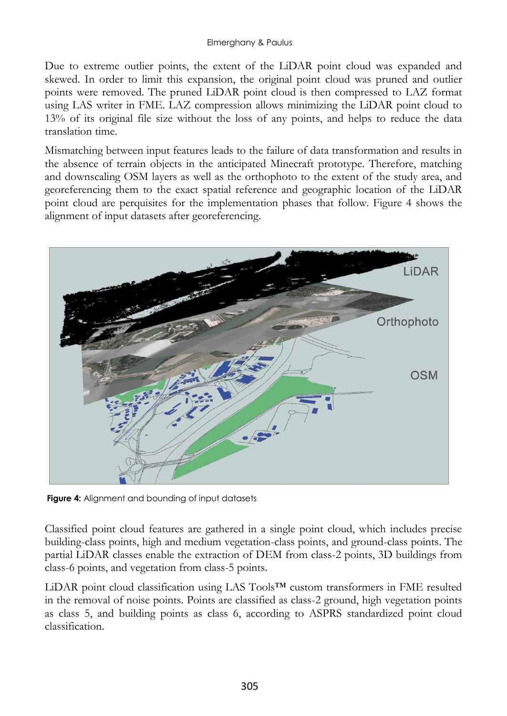Due to extreme outlier points, the extent of the LiDAR point cloud was expanded and skewed. In order to limit this expansion, the original point cloud was pruned and outlier points were removed. The pruned LiDAR point cloud is then compressed to LAZ format using LAS writer in FME. LAZ compression allows minimizing the LiDAR point cloud to 13% of its original file size without the loss of any points, and helps to reduce the data translation time.

Mismatching between input features leads to the failure of data transformation and results in the absence of terrain objects in the anticipated Minecraft prototype. Therefore, matching and downscaling OSM layers as well as the orthophoto to the extent of the study area, and georeferencing them to the exact spatial reference and geographic location of the LiDAR point cloud are perquisites for the implementation phases that follow. Figure 4 shows the alignment of input datasets after georeferencing.



**Figure 4:** Alignment and bounding of input datasets

Classified point cloud features are gathered in a single point cloud, which includes precise building-class points, high and medium vegetation-class points, and ground-class points. The partial LiDAR classes enable the extraction of DEM from class-2 points, 3D buildings from class-6 points, and vegetation from class-5 points.

LiDAR point cloud classification using LAS Tools™ custom transformers in FME resulted in the removal of noise points. Points are classified as class-2 ground, high vegetation points as class 5, and building points as class 6, according to ASPRS standardized point cloud classification.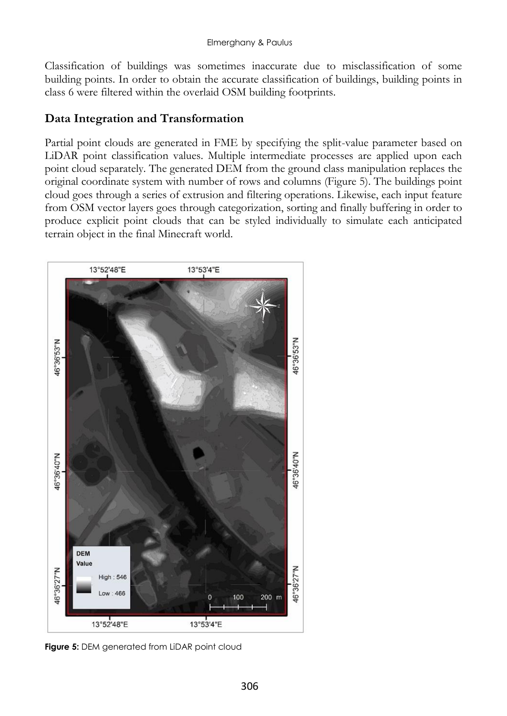Classification of buildings was sometimes inaccurate due to misclassification of some building points. In order to obtain the accurate classification of buildings, building points in class 6 were filtered within the overlaid OSM building footprints.

#### **Data Integration and Transformation**

Partial point clouds are generated in FME by specifying the split-value parameter based on LiDAR point classification values. Multiple intermediate processes are applied upon each point cloud separately. The generated DEM from the ground class manipulation replaces the original coordinate system with number of rows and columns (Figure 5). The buildings point cloud goes through a series of extrusion and filtering operations. Likewise, each input feature from OSM vector layers goes through categorization, sorting and finally buffering in order to produce explicit point clouds that can be styled individually to simulate each anticipated terrain object in the final Minecraft world.



**Figure 5:** DEM generated from LiDAR point cloud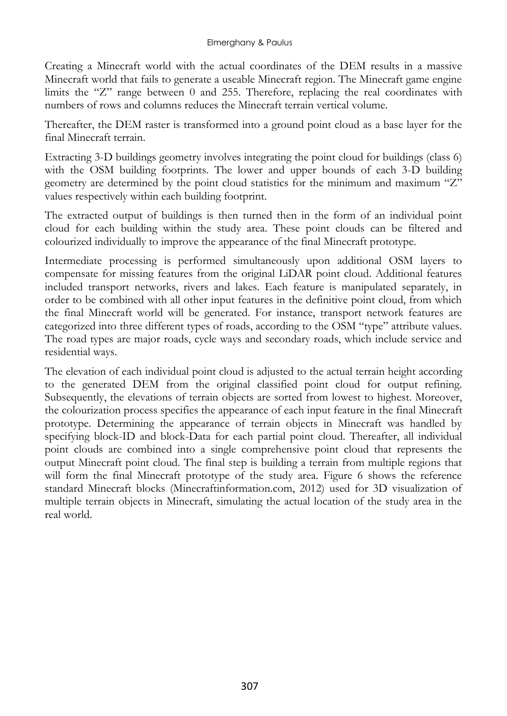Creating a Minecraft world with the actual coordinates of the DEM results in a massive Minecraft world that fails to generate a useable Minecraft region. The Minecraft game engine limits the "Z" range between 0 and 255. Therefore, replacing the real coordinates with numbers of rows and columns reduces the Minecraft terrain vertical volume.

Thereafter, the DEM raster is transformed into a ground point cloud as a base layer for the final Minecraft terrain.

Extracting 3-D buildings geometry involves integrating the point cloud for buildings (class 6) with the OSM building footprints. The lower and upper bounds of each 3-D building geometry are determined by the point cloud statistics for the minimum and maximum "Z" values respectively within each building footprint.

The extracted output of buildings is then turned then in the form of an individual point cloud for each building within the study area. These point clouds can be filtered and colourized individually to improve the appearance of the final Minecraft prototype.

Intermediate processing is performed simultaneously upon additional OSM layers to compensate for missing features from the original LiDAR point cloud. Additional features included transport networks, rivers and lakes. Each feature is manipulated separately, in order to be combined with all other input features in the definitive point cloud, from which the final Minecraft world will be generated. For instance, transport network features are categorized into three different types of roads, according to the OSM "type" attribute values. The road types are major roads, cycle ways and secondary roads, which include service and residential ways.

The elevation of each individual point cloud is adjusted to the actual terrain height according to the generated DEM from the original classified point cloud for output refining. Subsequently, the elevations of terrain objects are sorted from lowest to highest. Moreover, the colourization process specifies the appearance of each input feature in the final Minecraft prototype. Determining the appearance of terrain objects in Minecraft was handled by specifying block-ID and block-Data for each partial point cloud. Thereafter, all individual point clouds are combined into a single comprehensive point cloud that represents the output Minecraft point cloud. The final step is building a terrain from multiple regions that will form the final Minecraft prototype of the study area. Figure 6 shows the reference standard Minecraft blocks (Minecraftinformation.com, 2012) used for 3D visualization of multiple terrain objects in Minecraft, simulating the actual location of the study area in the real world.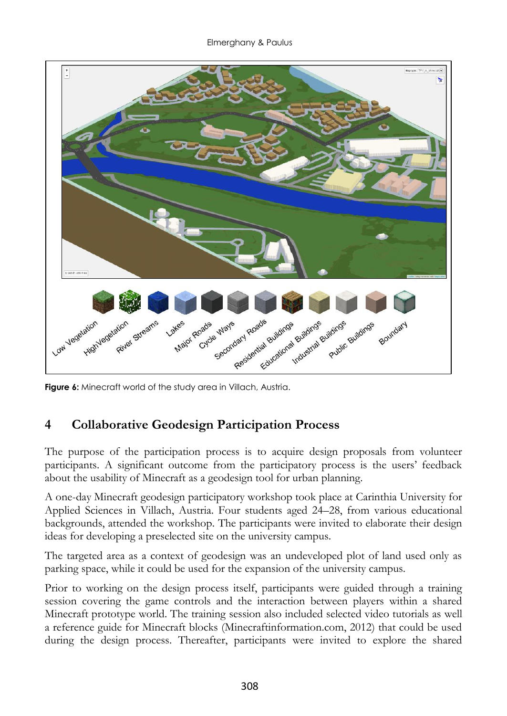

**Figure 6:** Minecraft world of the study area in Villach, Austria.

# **4 Collaborative Geodesign Participation Process**

The purpose of the participation process is to acquire design proposals from volunteer participants. A significant outcome from the participatory process is the users' feedback about the usability of Minecraft as a geodesign tool for urban planning.

A one-day Minecraft geodesign participatory workshop took place at Carinthia University for Applied Sciences in Villach, Austria. Four students aged 24–28, from various educational backgrounds, attended the workshop. The participants were invited to elaborate their design ideas for developing a preselected site on the university campus.

The targeted area as a context of geodesign was an undeveloped plot of land used only as parking space, while it could be used for the expansion of the university campus.

Prior to working on the design process itself, participants were guided through a training session covering the game controls and the interaction between players within a shared Minecraft prototype world. The training session also included selected video tutorials as well a reference guide for Minecraft blocks (Minecraftinformation.com, 2012) that could be used during the design process. Thereafter, participants were invited to explore the shared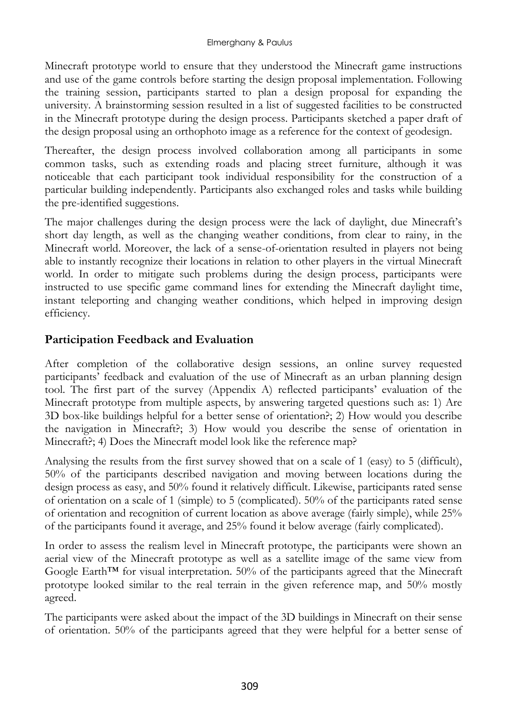Minecraft prototype world to ensure that they understood the Minecraft game instructions and use of the game controls before starting the design proposal implementation. Following the training session, participants started to plan a design proposal for expanding the university. A brainstorming session resulted in a list of suggested facilities to be constructed in the Minecraft prototype during the design process. Participants sketched a paper draft of the design proposal using an orthophoto image as a reference for the context of geodesign.

Thereafter, the design process involved collaboration among all participants in some common tasks, such as extending roads and placing street furniture, although it was noticeable that each participant took individual responsibility for the construction of a particular building independently. Participants also exchanged roles and tasks while building the pre-identified suggestions.

The major challenges during the design process were the lack of daylight, due Minecraft's short day length, as well as the changing weather conditions, from clear to rainy, in the Minecraft world. Moreover, the lack of a sense-of-orientation resulted in players not being able to instantly recognize their locations in relation to other players in the virtual Minecraft world. In order to mitigate such problems during the design process, participants were instructed to use specific game command lines for extending the Minecraft daylight time, instant teleporting and changing weather conditions, which helped in improving design efficiency.

### **Participation Feedback and Evaluation**

After completion of the collaborative design sessions, an online survey requested participants' feedback and evaluation of the use of Minecraft as an urban planning design tool. The first part of the survey (Appendix A) reflected participants' evaluation of the Minecraft prototype from multiple aspects, by answering targeted questions such as: 1) Are 3D box-like buildings helpful for a better sense of orientation?; 2) How would you describe the navigation in Minecraft?; 3) How would you describe the sense of orientation in Minecraft?; 4) Does the Minecraft model look like the reference map?

Analysing the results from the first survey showed that on a scale of 1 (easy) to 5 (difficult), 50% of the participants described navigation and moving between locations during the design process as easy, and 50% found it relatively difficult. Likewise, participants rated sense of orientation on a scale of 1 (simple) to 5 (complicated). 50% of the participants rated sense of orientation and recognition of current location as above average (fairly simple), while 25% of the participants found it average, and 25% found it below average (fairly complicated).

In order to assess the realism level in Minecraft prototype, the participants were shown an aerial view of the Minecraft prototype as well as a satellite image of the same view from Google Earth<sup>™</sup> for visual interpretation.  $50\%$  of the participants agreed that the Minecraft prototype looked similar to the real terrain in the given reference map, and 50% mostly agreed.

The participants were asked about the impact of the 3D buildings in Minecraft on their sense of orientation. 50% of the participants agreed that they were helpful for a better sense of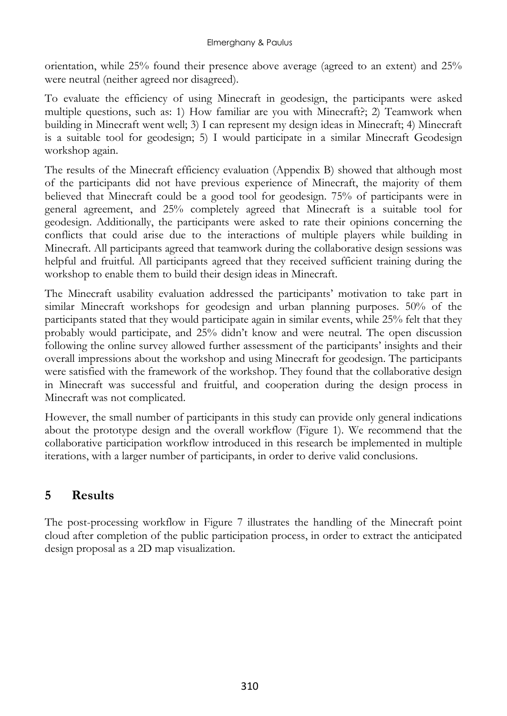orientation, while 25% found their presence above average (agreed to an extent) and 25% were neutral (neither agreed nor disagreed).

To evaluate the efficiency of using Minecraft in geodesign, the participants were asked multiple questions, such as: 1) How familiar are you with Minecraft?; 2) Teamwork when building in Minecraft went well; 3) I can represent my design ideas in Minecraft; 4) Minecraft is a suitable tool for geodesign; 5) I would participate in a similar Minecraft Geodesign workshop again.

The results of the Minecraft efficiency evaluation (Appendix B) showed that although most of the participants did not have previous experience of Minecraft, the majority of them believed that Minecraft could be a good tool for geodesign. 75% of participants were in general agreement, and 25% completely agreed that Minecraft is a suitable tool for geodesign. Additionally, the participants were asked to rate their opinions concerning the conflicts that could arise due to the interactions of multiple players while building in Minecraft. All participants agreed that teamwork during the collaborative design sessions was helpful and fruitful. All participants agreed that they received sufficient training during the workshop to enable them to build their design ideas in Minecraft.

The Minecraft usability evaluation addressed the participants' motivation to take part in similar Minecraft workshops for geodesign and urban planning purposes. 50% of the participants stated that they would participate again in similar events, while 25% felt that they probably would participate, and 25% didn't know and were neutral. The open discussion following the online survey allowed further assessment of the participants' insights and their overall impressions about the workshop and using Minecraft for geodesign. The participants were satisfied with the framework of the workshop. They found that the collaborative design in Minecraft was successful and fruitful, and cooperation during the design process in Minecraft was not complicated.

However, the small number of participants in this study can provide only general indications about the prototype design and the overall workflow (Figure 1). We recommend that the collaborative participation workflow introduced in this research be implemented in multiple iterations, with a larger number of participants, in order to derive valid conclusions.

# **5 Results**

The post-processing workflow in Figure 7 illustrates the handling of the Minecraft point cloud after completion of the public participation process, in order to extract the anticipated design proposal as a 2D map visualization.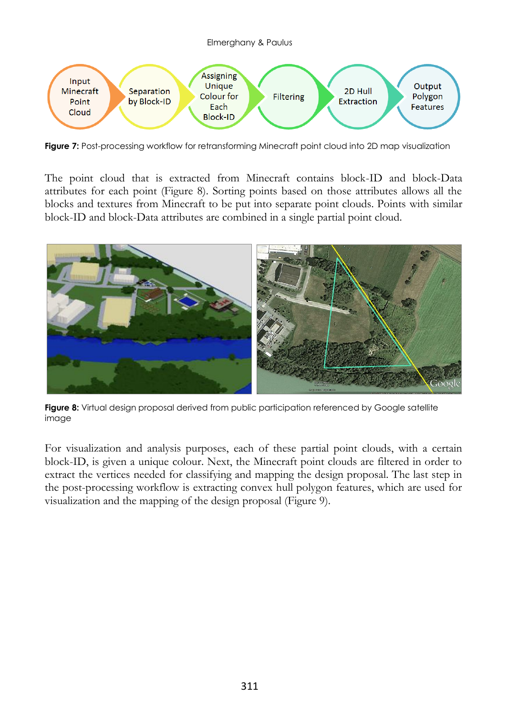

**Figure 7:** Post-processing workflow for retransforming Minecraft point cloud into 2D map visualization

The point cloud that is extracted from Minecraft contains block-ID and block-Data attributes for each point (Figure 8). Sorting points based on those attributes allows all the blocks and textures from Minecraft to be put into separate point clouds. Points with similar block-ID and block-Data attributes are combined in a single partial point cloud.



**Figure 8:** Virtual design proposal derived from public participation referenced by Google satellite image

For visualization and analysis purposes, each of these partial point clouds, with a certain block-ID, is given a unique colour. Next, the Minecraft point clouds are filtered in order to extract the vertices needed for classifying and mapping the design proposal. The last step in the post-processing workflow is extracting convex hull polygon features, which are used for visualization and the mapping of the design proposal (Figure 9).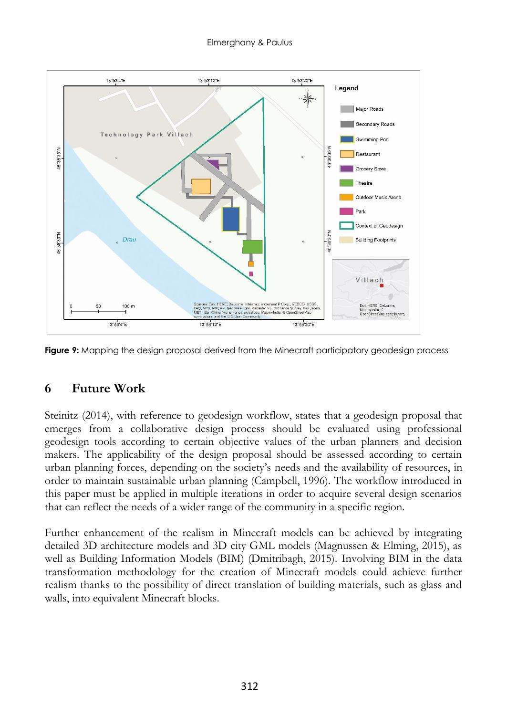

**Figure 9:** Mapping the design proposal derived from the Minecraft participatory geodesign process

### **6 Future Work**

Steinitz (2014), with reference to geodesign workflow, states that a geodesign proposal that emerges from a collaborative design process should be evaluated using professional geodesign tools according to certain objective values of the urban planners and decision makers. The applicability of the design proposal should be assessed according to certain urban planning forces, depending on the society's needs and the availability of resources, in order to maintain sustainable urban planning (Campbell, 1996). The workflow introduced in this paper must be applied in multiple iterations in order to acquire several design scenarios that can reflect the needs of a wider range of the community in a specific region.

Further enhancement of the realism in Minecraft models can be achieved by integrating detailed 3D architecture models and 3D city GML models (Magnussen & Elming, 2015), as well as Building Information Models (BIM) (Dmitribagh, 2015). Involving BIM in the data transformation methodology for the creation of Minecraft models could achieve further realism thanks to the possibility of direct translation of building materials, such as glass and walls, into equivalent Minecraft blocks.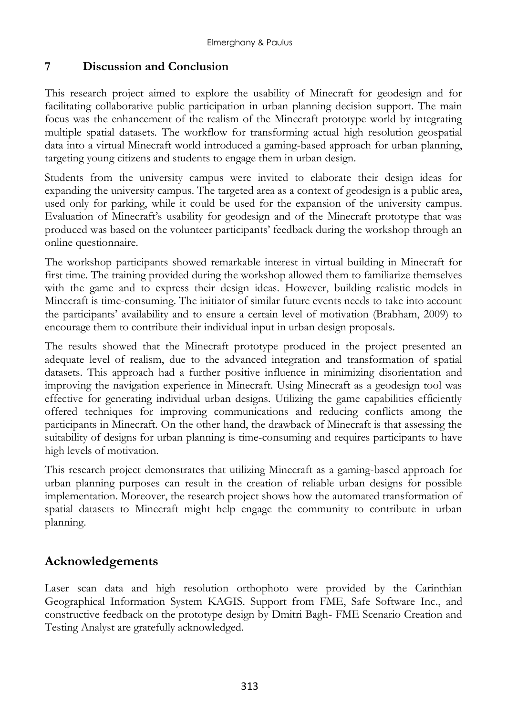### **7 Discussion and Conclusion**

This research project aimed to explore the usability of Minecraft for geodesign and for facilitating collaborative public participation in urban planning decision support. The main focus was the enhancement of the realism of the Minecraft prototype world by integrating multiple spatial datasets. The workflow for transforming actual high resolution geospatial data into a virtual Minecraft world introduced a gaming-based approach for urban planning, targeting young citizens and students to engage them in urban design.

Students from the university campus were invited to elaborate their design ideas for expanding the university campus. The targeted area as a context of geodesign is a public area, used only for parking, while it could be used for the expansion of the university campus. Evaluation of Minecraft's usability for geodesign and of the Minecraft prototype that was produced was based on the volunteer participants' feedback during the workshop through an online questionnaire.

The workshop participants showed remarkable interest in virtual building in Minecraft for first time. The training provided during the workshop allowed them to familiarize themselves with the game and to express their design ideas. However, building realistic models in Minecraft is time-consuming. The initiator of similar future events needs to take into account the participants' availability and to ensure a certain level of motivation (Brabham, 2009) to encourage them to contribute their individual input in urban design proposals.

The results showed that the Minecraft prototype produced in the project presented an adequate level of realism, due to the advanced integration and transformation of spatial datasets. This approach had a further positive influence in minimizing disorientation and improving the navigation experience in Minecraft. Using Minecraft as a geodesign tool was effective for generating individual urban designs. Utilizing the game capabilities efficiently offered techniques for improving communications and reducing conflicts among the participants in Minecraft. On the other hand, the drawback of Minecraft is that assessing the suitability of designs for urban planning is time-consuming and requires participants to have high levels of motivation.

This research project demonstrates that utilizing Minecraft as a gaming-based approach for urban planning purposes can result in the creation of reliable urban designs for possible implementation. Moreover, the research project shows how the automated transformation of spatial datasets to Minecraft might help engage the community to contribute in urban planning.

### **Acknowledgements**

Laser scan data and high resolution orthophoto were provided by the Carinthian Geographical Information System KAGIS. Support from FME, Safe Software Inc., and constructive feedback on the prototype design by Dmitri Bagh- FME Scenario Creation and Testing Analyst are gratefully acknowledged.